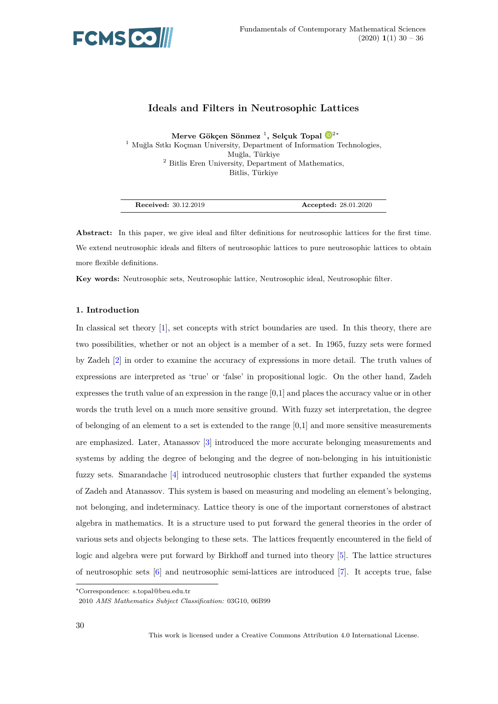

# **Ideals and Filters in Neutrosophic Lattices**

**Merve Gökçen Sönmez** <sup>1</sup> **, Selçuk Topal** <sup>2</sup><sup>∗</sup> <sup>1</sup> Muğla Sıtkı Koçman University, Department of Informa[tion Technologies,](https://orcid.org/0000-0001-7074-2569) Muğla, Türkiye <sup>2</sup> Bitlis Eren University, Department of Mathematics, Bitlis, Türkiye

| <b>Accepted: 28.01.2020</b> |
|-----------------------------|
|                             |

**Abstract:** In this paper, we give ideal and filter definitions for neutrosophic lattices for the first time. We extend neutrosophic ideals and filters of neutrosophic lattices to pure neutrosophic lattices to obtain more flexible definitions.

**Key words:** Neutrosophic sets, Neutrosophic lattice, Neutrosophic ideal, Neutrosophic filter.

## **1. Introduction**

In classical set theory [1], set concepts with strict boundaries are used. In this theory, there are two possibilities, whether or not an object is a member of a set. In 1965, fuzzy sets were formed by Zadeh [2] in order t[o](#page-6-0) examine the accuracy of expressions in more detail. The truth values of expressions are interpreted as 'true' or 'false' in propositional logic. On the other hand, Zadeh expresses t[he](#page-6-1) truth value of an expression in the range [0,1] and places the accuracy value or in other words the truth level on a much more sensitive ground. With fuzzy set interpretation, the degree of belonging of an element to a set is extended to the range  $[0,1]$  and more sensitive measurements are emphasized. Later, Atanassov [3] introduced the more accurate belonging measurements and systems by adding the degree of belonging and the degree of non-belonging in his intuitionistic fuzzy sets. Smarandache [4] introd[uc](#page-6-2)ed neutrosophic clusters that further expanded the systems of Zadeh and Atanassov. This system is based on measuring and modeling an element's belonging, not belonging, and indeterminacy. Lattice theory is one of the important cornerstones of abstract algebra in mathematics. I[t](#page-6-3) is a structure used to put forward the general theories in the order of various sets and objects belonging to these sets. The lattices frequently encountered in the field of logic and algebra were put forward by Birkhoff and turned into theory [5]. The lattice structures of neutrosophic sets [6] and neutrosophic semi-lattices are introduced [7]. It accepts true, false

<sup>∗</sup>Correspondence: s.topal@beu.edu.tr

<sup>2010</sup> *AMS Mathematics Subject Classification:* 03G10, 06B99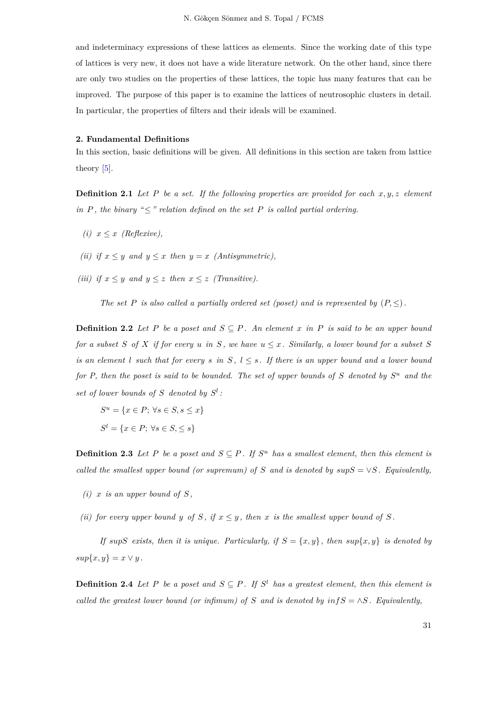and indeterminacy expressions of these lattices as elements. Since the working date of this type of lattices is very new, it does not have a wide literature network. On the other hand, since there are only two studies on the properties of these lattices, the topic has many features that can be improved. The purpose of this paper is to examine the lattices of neutrosophic clusters in detail. In particular, the properties of filters and their ideals will be examined.

#### **2. Fundamental Definitions**

In this section, basic definitions will be given. All definitions in this section are taken from lattice theory [5].

**Definition 2.1** *Let P be a set. If the following properties are provided for each x, y, z element in*  $P$ *, t[he](#page-6-4) binary* " $\leq$ " *relation defined on the set*  $P$  *is called partial ordering.* 

- $(i)$   $x \leq x$  *(Reflexive)*,
- *(ii) if*  $x \leq y$  *and*  $y \leq x$  *then*  $y = x$  *(Antisymmetric),*
- *(iii) if*  $x \leq y$  *and*  $y \leq z$  *then*  $x \leq z$  *(Transitive).*

*The set P is also called a partially ordered set (poset) and is represented by*  $(P, \leq)$ *.* 

**Definition 2.2** *Let P be a poset and*  $S \subseteq P$ *. An element x in P is said to be an upper bound for a subset S of X if for every u in S*, *we have*  $u \leq x$ *. Similarly, a lower bound for a subset S is an element l such that for every s in*  $S$ ,  $l \leq s$ . If there *is an upper bound and a lower bound for P, then the poset is said to be bounded. The set of upper bounds of S denoted by S <sup>u</sup> and the* set of lower bounds of  $S$  denoted by  $S^l$ :

$$
Su = \{x \in P; \forall s \in S, s \le x\}
$$

$$
Sl = \{x \in P; \forall s \in S, \le s\}
$$

**Definition 2.3** Let P be a poset and  $S \subseteq P$ . If  $S^u$  has a smallest element, then this element is *called the smallest upper bound (or supremum) of S* and *is denoted by*  $supS = \vee S$ . Equivalently,

- *(i)*  $x$  *is an upper bound of*  $S$ ,
- *(ii) for every upper bound y of*  $S$ , *if*  $x \leq y$ , *then*  $x$  *is the smallest upper bound of*  $S$ .

*If*  $supS$  *exists, then it is unique. Particularly, if*  $S = \{x, y\}$ *, then*  $sup\{x, y\}$  *is denoted by*  $sup\{x, y\} = x \vee y$ .

**Definition 2.4** Let P be a poset and  $S \subseteq P$ . If  $S^l$  has a greatest element, then this element is *called the greatest lower bound (or infimum) of*  $S$  *and is denoted by*  $infS = \land S$ . Equivalently,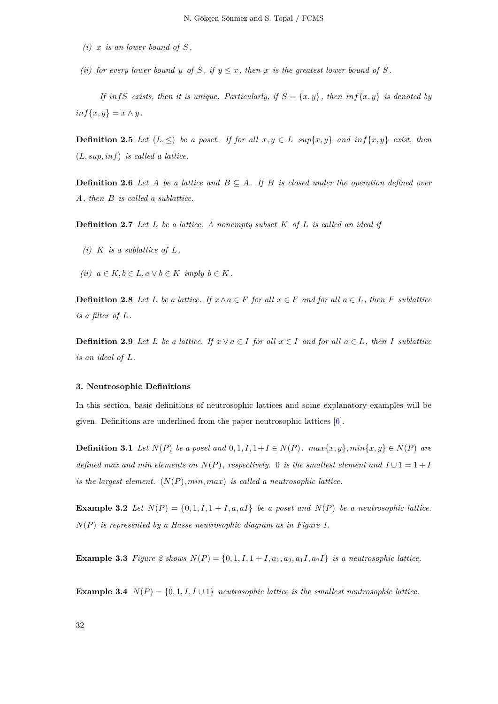- $(i)$  *x is an lower bound of*  $S$ ,
- *(ii) for every lower bound y of S*, *if*  $y \leq x$ , *then x is the greatest lower bound of S*.

*If infS exists, then it is unique. Particularly, if*  $S = \{x, y\}$ *, then*  $\inf\{x, y\}$  *is denoted by*  $inf\{x, y\} = x \wedge y$ .

**Definition 2.5** *Let*  $(L, \leq)$  *be a poset. If for all*  $x, y \in L$  *sup*{ $x, y$ } *and*  $inf\{x, y\}$  *exist, then* (*L, sup, inf*) *is called a lattice.*

**Definition 2.6** *Let A be a lattice and*  $B \subseteq A$ *. If B is closed under the operation defined over A, then B is called a sublattice.*

**Definition 2.7** *Let L be a lattice. A nonempty subset K of L is called an ideal if*

- *(i)*  $K$  *is a sublattice of*  $L$ *,*
- $(iii)$   $a \in K, b \in L, a \vee b \in K$  *imply*  $b \in K$ .

**Definition 2.8** Let L be a lattice. If  $x \wedge a \in F$  for all  $x \in F$  and for all  $a \in L$ , then F sublattice *is a filter of L.*

**Definition 2.9** Let L be a lattice. If  $x \lor a \in I$  for all  $x \in I$  and for all  $a \in L$ , then I sublattice *is an ideal of L.*

#### **3. Neutrosophic Definitions**

In this section, basic definitions of neutrosophic lattices and some explanatory examples will be given. Definitions are underlined from the paper neutrosophic lattices [6].

**Definition 3.1** Let  $N(P)$  be a poset and  $0, 1, I, 1 + I \in N(P)$ .  $max\{x, y\}$ ,  $min\{x, y\} \in N(P)$  are *defined max and min [e](#page-6-5)lements on*  $N(P)$ *, respectively.* 0 *is the smallest element and*  $I \cup 1 = 1 + I$ *is the largest element.* (*N*(*P*)*, min, max*) *is called a neutrosophic lattice.*

**Example 3.2** Let  $N(P) = \{0, 1, I, 1 + I, a, aI\}$  be a poset and  $N(P)$  be a neutrosophic lattice. *N*(*P*) *is represented by a Hasse neutrosophic diagram as in Figure 1.*

**Example 3.3** Figure 2 shows  $N(P) = \{0, 1, I, 1 + I, a_1, a_2, a_1I, a_2I\}$  is a neutrosophic lattice.

**Example 3.4**  $N(P) = \{0, 1, I, I \cup 1\}$  *neutrosophic lattice is the smallest neutrosophic lattice.*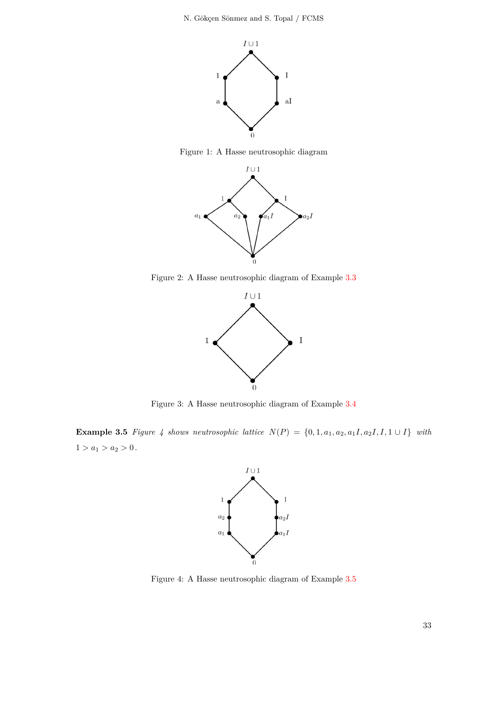

Figure 1: A Hasse neutrosophic diagram



Figure 2: A Hasse neutrosophic diagram of Example 3.3



Figure 3: A Hasse neutrosophic diagram of Example 3.4

**Example 3.5** Figure 4 shows neutrosophic lattice  $N(P) = \{0, 1, a_1, a_2, a_1I, a_2I, I, 1 \cup I\}$  with  $1 > a_1 > a_2 > 0.$ 



Figure 4: A Hasse neutrosophic diagram of Example 3.5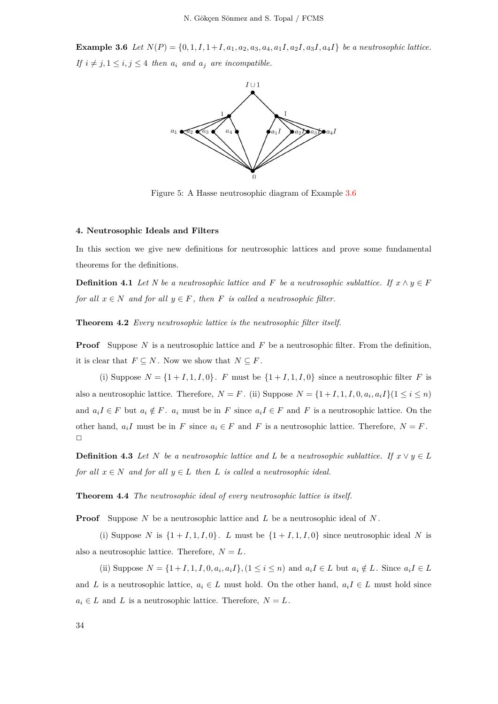**Example 3.6** Let  $N(P) = \{0, 1, I, 1 + I, a_1, a_2, a_3, a_4, a_1, a_2, a_3, a_4, a_1\}$  be a neutrosophic lattice. *If*  $i \neq j, 1 \leq i, j \leq 4$  *then*  $a_i$  *and*  $a_j$  *are incompatible.* 



Figure 5: A Hasse neutrosophic diagram of Example 3.6

#### **4. Neutrosophic Ideals and Filters**

In this section we give new definitions for neutrosophic lattices and prove some fundamental theorems for the definitions.

**Definition 4.1** *Let N be a neutrosophic lattice and F be a neutrosophic sublattice. If*  $x \wedge y \in F$ *for all*  $x \in N$  *and for all*  $y \in F$ *, then F is called a neutrosophic filter.* 

**Theorem 4.2** *Every neutrosophic lattice is the neutrosophic filter itself.*

**Proof** Suppose *N* is a neutrosophic lattice and *F* be a neutrosophic filter. From the definition, it is clear that  $F \subseteq N$ . Now we show that  $N \subseteq F$ .

(i) Suppose  $N = \{1 + I, 1, I, 0\}$ . *F* must be  $\{1 + I, 1, I, 0\}$  since a neutrosophic filter *F* is also a neutrosophic lattice. Therefore,  $N = F$ . (ii) Suppose  $N = \{1 + I, 1, I, 0, a_i, a_i I\}$  ( $1 \le i \le n$ ) and  $a_iI \in F$  but  $a_i \notin F$ .  $a_i$  must be in F since  $a_iI \in F$  and F is a neutrosophic lattice. On the other hand,  $a_iI$  must be in *F* since  $a_i \in F$  and *F* is a neutrosophic lattice. Therefore,  $N = F$ .  $\Box$ 

**Definition 4.3** *Let N be a neutrosophic lattice and L be a neutrosophic sublattice. If*  $x \vee y \in L$ *for all*  $x \in N$  *and for all*  $y \in L$  *then*  $L$  *is called a neutrosophic ideal.* 

**Theorem 4.4** *The neutrosophic ideal of every neutrosophic lattice is itself.*

**Proof** Suppose *N* be a neutrosophic lattice and *L* be a neutrosophic ideal of *N* .

(i) Suppose *N* is  $\{1+I,1,I,0\}$ . *L* must be  $\{1+I,1,I,0\}$  since neutrosophic ideal *N* is also a neutrosophic lattice. Therefore,  $N = L$ .

(ii) Suppose  $N = \{1+I, 1, I, 0, a_i, a_iI\}, (1 \leq i \leq n)$  and  $a_iI \in L$  but  $a_i \notin L$ . Since  $a_iI \in L$ and *L* is a neutrosophic lattice,  $a_i \in L$  must hold. On the other hand,  $a_i I \in L$  must hold since  $a_i \in L$  and *L* is a neutrosophic lattice. Therefore,  $N = L$ .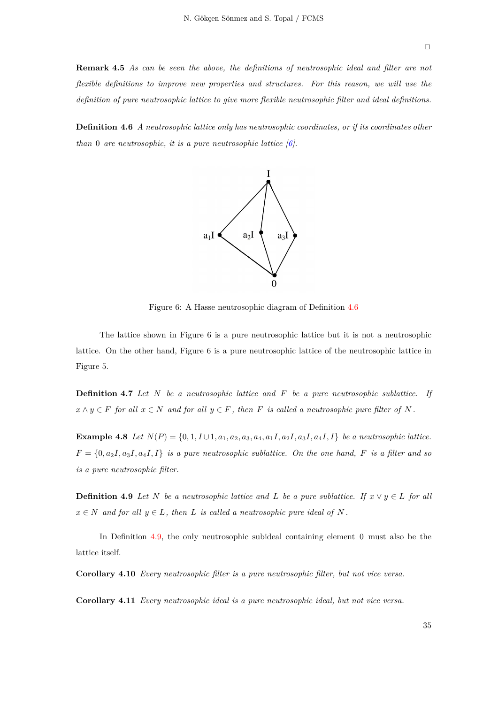**Remark 4.5** *As can be seen the above, the definitions of neutrosophic ideal and filter are not flexible definitions to improve new properties and structures. For this reason, we will use the definition of pure neutrosophic lattice to give more flexible neutrosophic filter and ideal definitions.*

<span id="page-5-0"></span>**Definition 4.6** *A neutrosophic lattice only has neutrosophic coordinates, or if its coordinates other than* 0 *are neutrosophic, it is a pure neutrosophic lattice [6].*



Figure 6: A Hasse neutrosophic diagram of Definition 4.6

The lattice shown in Figure 6 is a pure neutrosophic lattice but it is not a neutrosophic lattice. On the other hand, Figure 6 is a pure neutrosophic lattice of the [neu](#page-5-0)trosophic lattice in Figure 5.

**Definition 4.7** *Let N be a neutrosophic lattice and F be a pure neutrosophic sublattice. If*  $x \wedge y \in F$  *for all*  $x \in N$  *and for all*  $y \in F$ *, then F is called a neutrosophic pure filter of N* .

**Example 4.8** Let  $N(P) = \{0, 1, I \cup 1, a_1, a_2, a_3, a_4, a_1I, a_2I, a_3I, a_4I, I\}$  be a neutrosophic lattice.  $F = \{0, a_2I, a_3I, a_4I, I\}$  *is a pure neutrosophic sublattice. On the one hand, F is a filter and so is a pure neutrosophic filter.*

**Definition 4.9** *Let*  $N$  *be a neutrosophic lattice and*  $L$  *be a pure sublattice. If*  $x \vee y \in L$  *for all*  $x \in N$  *and for all*  $y \in L$ *, then L is called a neutrosophic pure ideal of N*.

<span id="page-5-1"></span>In Definition 4.9, the only neutrosophic subideal containing element 0 must also be the lattice itself.

**Corollary 4.10** *Ev[ery](#page-5-1) neutrosophic filter is a pure neutrosophic filter, but not vice versa.*

**Corollary 4.11** *Every neutrosophic ideal is a pure neutrosophic ideal, but not vice versa.*